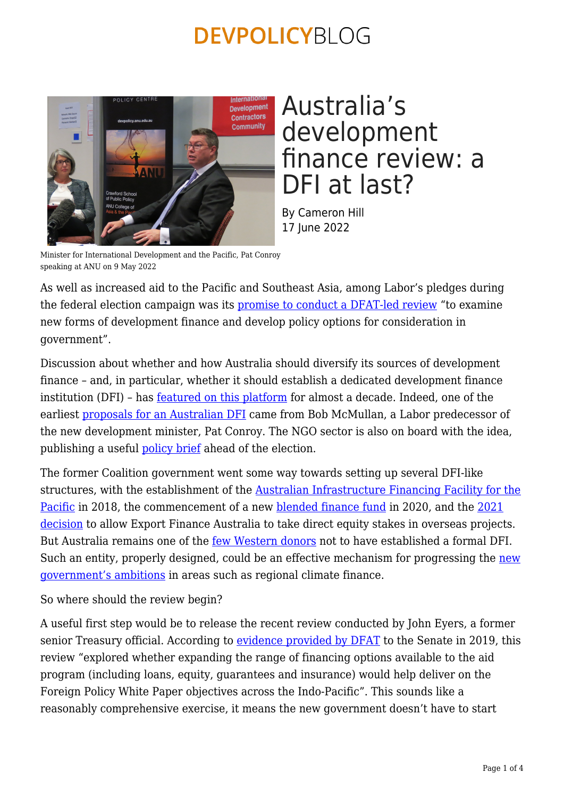

Australia's development finance review: a DFI at last?

By Cameron Hill 17 June 2022

Minister for International Development and the Pacific, Pat Conroy speaking at ANU on 9 May 2022

As well as increased aid to the Pacific and Southeast Asia, among Labor's pledges during the federal election campaign was its [promise to conduct a DFAT-led review](https://www.patconroy.com.au/media/speeches/speech-to-2022-election-policy-forum-on-aid-and-development/) "to examine new forms of development finance and develop policy options for consideration in government".

Discussion about whether and how Australia should diversify its sources of development finance – and, in particular, whether it should establish a dedicated development finance institution (DFI) - has <u>[featured on this platform](https://devpolicy.org/tag/development-finance-institutions-dfis/)</u> for almost a decade. Indeed, one of the earliest [proposals for an Australian DFI](https://devpolicy.org/development-finance-company-for-australia-and-new-zealand-20140117/) came from Bob McMullan, a Labor predecessor of the new development minister, Pat Conroy. The NGO sector is also on board with the idea, publishing a useful [policy brief](https://acfid.asn.au/sites/site.acfid/files/Election%20Policy%20Brief%20-%20Development%20Finance.pdf) ahead of the election.

The former Coalition government went some way towards setting up several DFI-like structures, with the establishment of the **[Australian Infrastructure Financing Facility for the](https://www.aiffp.gov.au/about)** [Pacific](https://www.aiffp.gov.au/about) in 2018, the commencement of a new [blended finance fund](https://emiif.fund/) in 2020, and the [2021](https://www.trademinister.gov.au/minister/dan-tehan/media-release/reforms-export-finance-australia) [decision](https://www.trademinister.gov.au/minister/dan-tehan/media-release/reforms-export-finance-australia) to allow Export Finance Australia to take direct equity stakes in overseas projects. But Australia remains one of the <u>few Western donors</u> not to have established a formal DFI. Such an entity, properly designed, could be an effective mechanism for progressing the [new](https://www.pm.gov.au/media/joint-communique-indonesia-australia-annual-leaders-meeting#:~:text=Indonesia%20and%20Australia) [government's ambitions](https://www.pm.gov.au/media/joint-communique-indonesia-australia-annual-leaders-meeting#:~:text=Indonesia%20and%20Australia) in areas such as regional climate finance.

So where should the review begin?

A useful first step would be to release the recent review conducted by John Eyers, a former senior Treasury official. According to [evidence provided by DFAT](https://www.aph.gov.au/api/qon/downloadestimatesquestions/EstimatesQuestion-CommitteeId5-EstimatesRoundId5-PortfolioId11-QuestionNumber77) to the Senate in 2019, this review "explored whether expanding the range of financing options available to the aid program (including loans, equity, guarantees and insurance) would help deliver on the Foreign Policy White Paper objectives across the Indo-Pacific". This sounds like a reasonably comprehensive exercise, it means the new government doesn't have to start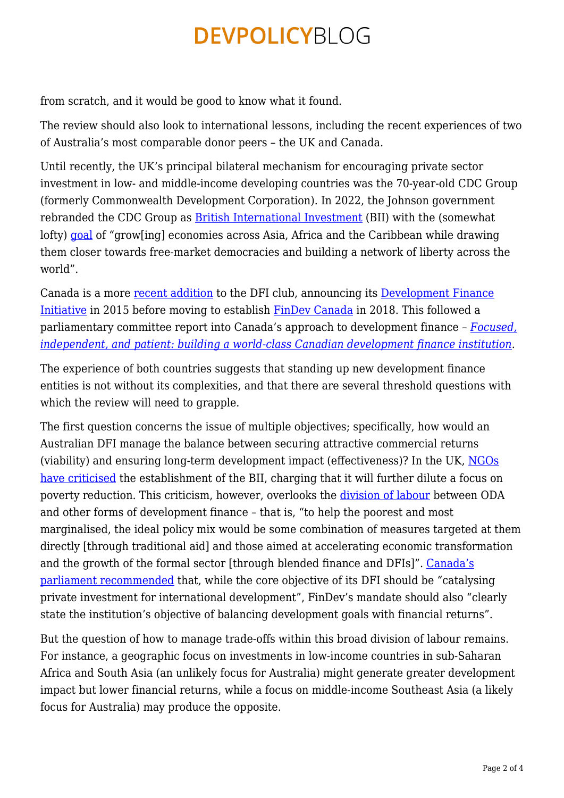from scratch, and it would be good to know what it found.

The review should also look to international lessons, including the recent experiences of two of Australia's most comparable donor peers – the UK and Canada.

Until recently, the UK's principal bilateral mechanism for encouraging private sector investment in low- and middle-income developing countries was the 70-year-old CDC Group (formerly Commonwealth Development Corporation). In 2022, the Johnson government rebranded the CDC Group as [British International Investment](https://www.bii.co.uk/en/) (BII) with the (somewhat lofty) [goal](https://www.gov.uk/government/news/truss-revamps-british-development-finance-institution-to-deliver-jobs-and-clean-growth) of "grow[ing] economies across Asia, Africa and the Caribbean while drawing them closer towards free-market democracies and building a network of liberty across the world".

Canada is a more [recent addition](https://devpolicy.org/canada-creates-a-bilateral-development-finance-institution-will-australia-follow-suit/) to the DFI club, announcing its [Development Finance](https://www.budget.gc.ca/2015/docs/plan/ch4-2-eng.html#The_Development_Finance_Initiative) [Initiative](https://www.budget.gc.ca/2015/docs/plan/ch4-2-eng.html#The_Development_Finance_Initiative) in 2015 before moving to establish [FinDev Canada](https://www.findevcanada.ca/en) in 2018. This followed a parliamentary committee report into Canada's approach to development finance – *[Focused,](https://www.ourcommons.ca/DocumentViewer/en/42-1/FAAE/report-17) [independent, and patient: building a world-class Canadian development finance institution](https://www.ourcommons.ca/DocumentViewer/en/42-1/FAAE/report-17).*

The experience of both countries suggests that standing up new development finance entities is not without its complexities, and that there are several threshold questions with which the review will need to grapple.

The first question concerns the issue of multiple objectives; specifically, how would an Australian DFI manage the balance between securing attractive commercial returns (viability) and ensuring long-term development impact (effectiveness)? In the UK, [NGOs](https://www.theguardian.com/global-development/2021/dec/21/uk-accused-of-abandoning-worlds-poor-as-aid-turned-into-colonial-investment) [have criticised](https://www.theguardian.com/global-development/2021/dec/21/uk-accused-of-abandoning-worlds-poor-as-aid-turned-into-colonial-investment) the establishment of the BII, charging that it will further dilute a focus on poverty reduction. This criticism, however, overlooks the [division of labour](https://odi.org/en/insights/channeling-uk-aid-through-finance-institutions-views-on-cdc/) between ODA and other forms of development finance – that is, "to help the poorest and most marginalised, the ideal policy mix would be some combination of measures targeted at them directly [through traditional aid] and those aimed at accelerating economic transformation and the growth of the formal sector [through blended finance and DFIs]". [Canada's](https://www.ourcommons.ca/DocumentViewer/en/42-1/FAAE/report-17) [parliament recommended](https://www.ourcommons.ca/DocumentViewer/en/42-1/FAAE/report-17) that, while the core objective of its DFI should be "catalysing private investment for international development", FinDev's mandate should also "clearly state the institution's objective of balancing development goals with financial returns".

But the question of how to manage trade-offs within this broad division of labour remains. For instance, a geographic focus on investments in low-income countries in sub-Saharan Africa and South Asia (an unlikely focus for Australia) might generate greater development impact but lower financial returns, while a focus on middle-income Southeast Asia (a likely focus for Australia) may produce the opposite.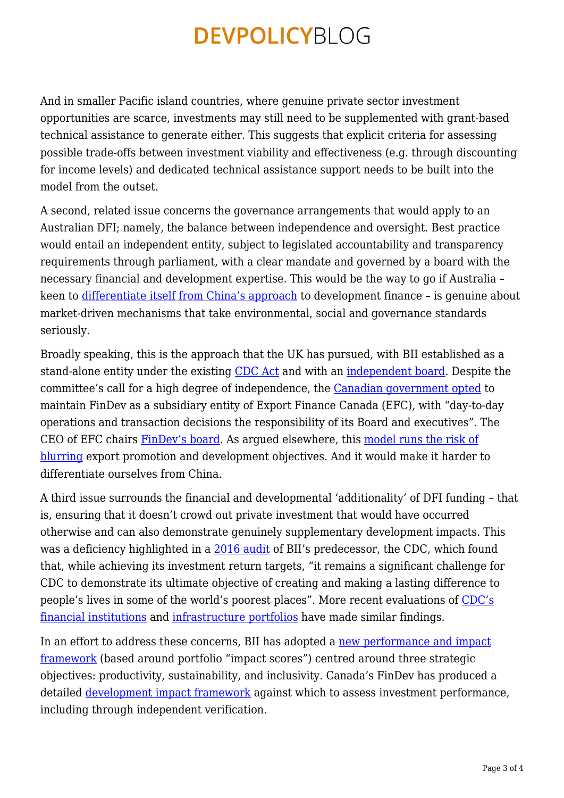And in smaller Pacific island countries, where genuine private sector investment opportunities are scarce, investments may still need to be supplemented with grant-based technical assistance to generate either. This suggests that explicit criteria for assessing possible trade-offs between investment viability and effectiveness (e.g. through discounting for income levels) and dedicated technical assistance support needs to be built into the model from the outset.

A second, related issue concerns the governance arrangements that would apply to an Australian DFI; namely, the balance between independence and oversight. Best practice would entail an independent entity, subject to legislated accountability and transparency requirements through parliament, with a clear mandate and governed by a board with the necessary financial and development expertise. This would be the way to go if Australia – keen to [differentiate itself from China's approach](https://www.state.gov/blue-dot-network/) to development finance – is genuine about market-driven mechanisms that take environmental, social and governance standards seriously.

Broadly speaking, this is the approach that the UK has pursued, with BII established as a stand-alone entity under the existing [CDC Act](https://www.legislation.gov.uk/ukpga/1999/20/contents) and with an [independent board](https://www.bii.co.uk/en/about/our-people/teams/our-board/). Despite the committee's call for a high degree of independence, the [Canadian government opted](https://www.ourcommons.ca/DocumentViewer/en/42-1/FAAE/report-17/response-8512-421-363) to maintain FinDev as a subsidiary entity of Export Finance Canada (EFC), with "day-to-day operations and transaction decisions the responsibility of its Board and executives". The CEO of EFC chairs [FinDev's board](https://www.findevcanada.ca/en/who-we-are/mairead-lavery-0). As argued elsewhere, this [model runs the risk of](https://devpolicy.org/australia-moves-closer-to-a-dfi-20210702/) [blurring](https://devpolicy.org/australia-moves-closer-to-a-dfi-20210702/) export promotion and development objectives. And it would make it harder to differentiate ourselves from China.

A third issue surrounds the financial and developmental 'additionality' of DFI funding – that is, ensuring that it doesn't crowd out private investment that would have occurred otherwise and can also demonstrate genuinely supplementary development impacts. This was a deficiency highlighted in a [2016 audit](https://www.nao.org.uk/press-release/department-for-international-development-investing-through-cdc/) of BII's predecessor, the CDC, which found that, while achieving its investment return targets, "it remains a significant challenge for CDC to demonstrate its ultimate objective of creating and making a lasting difference to people's lives in some of the world's poorest places". More recent evaluations of [CDC's](https://www.gov.uk/government/publications/evaluating-cdcs-financial-institutions-portfolio/evaluating-cdcs-financial-institutions-portfolio#overall-portfolio-di-summary-1) [financial institutions](https://www.gov.uk/government/publications/evaluating-cdcs-financial-institutions-portfolio/evaluating-cdcs-financial-institutions-portfolio#overall-portfolio-di-summary-1) and [infrastructure portfolios](https://www.gov.uk/government/publications/evaluating-the-impact-of-british-international-investments-infrastructure-portfolio) have made similar findings.

In an effort to address these concerns, BII has adopted a [new performance and impact](https://assets.bii.co.uk/wp-content/uploads/2022/02/24121022/British-International-Investment-Impact-Score-2022-26.pdf) [framework](https://assets.bii.co.uk/wp-content/uploads/2022/02/24121022/British-International-Investment-Impact-Score-2022-26.pdf) (based around portfolio "impact scores") centred around three strategic objectives: productivity, sustainability, and inclusivity. Canada's FinDev has produced a detailed [development impact framework](https://www.findevcanada.ca/sites/default/files/2018-10/development_impact_framework_en_-_final_092018.pdf) against which to assess investment performance, including through independent verification.